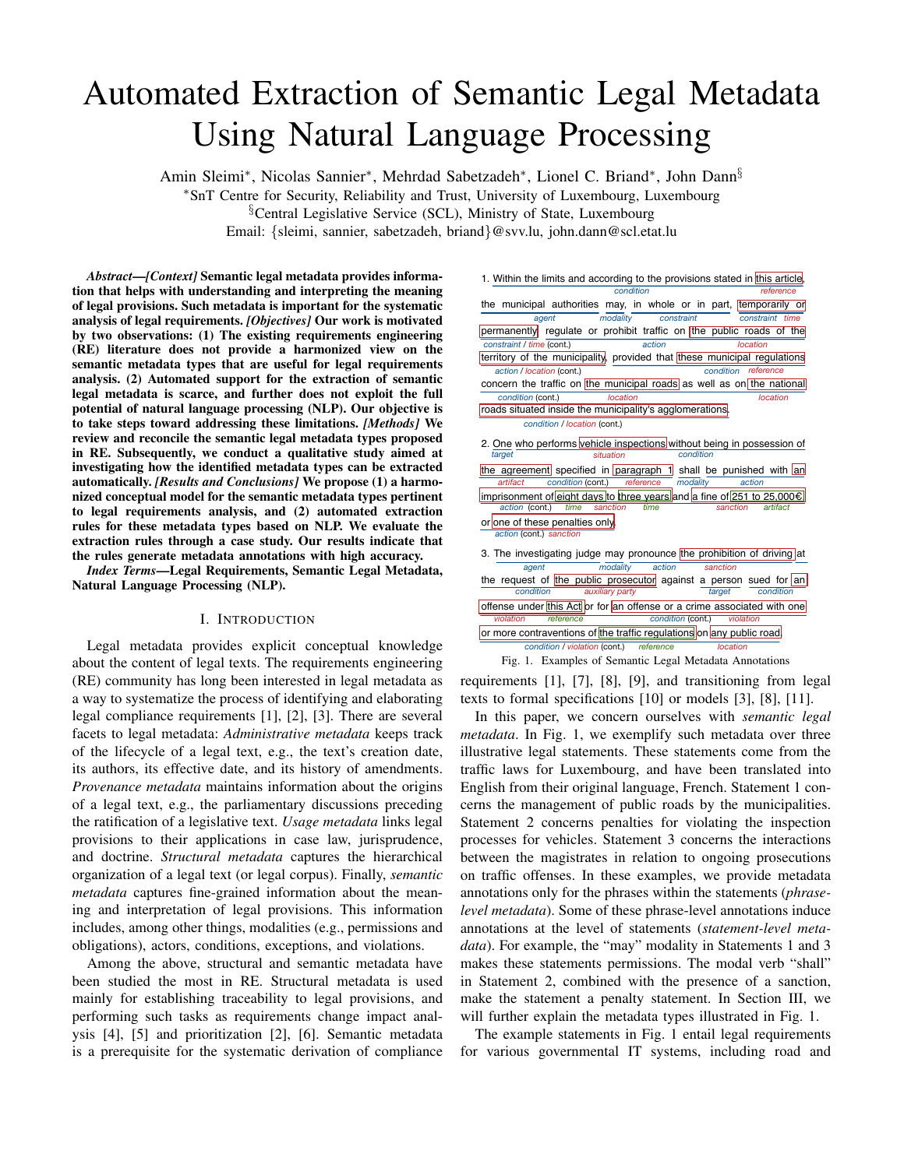# Automated Extraction of Semantic Legal Metadata Using Natural Language Processing

Amin Sleimi<sup>∗</sup> , Nicolas Sannier<sup>∗</sup> , Mehrdad Sabetzadeh<sup>∗</sup> , Lionel C. Briand<sup>∗</sup> , John Dann§ <sup>∗</sup>SnT Centre for Security, Reliability and Trust, University of Luxembourg, Luxembourg §Central Legislative Service (SCL), Ministry of State, Luxembourg Email: {sleimi, sannier, sabetzadeh, briand}@svv.lu, john.dann@scl.etat.lu

*Abstract*—*[Context]* Semantic legal metadata provides information that helps with understanding and interpreting the meaning of legal provisions. Such metadata is important for the systematic analysis of legal requirements. *[Objectives]* Our work is motivated by two observations: (1) The existing requirements engineering (RE) literature does not provide a harmonized view on the semantic metadata types that are useful for legal requirements analysis. (2) Automated support for the extraction of semantic legal metadata is scarce, and further does not exploit the full potential of natural language processing (NLP). Our objective is to take steps toward addressing these limitations. *[Methods]* We review and reconcile the semantic legal metadata types proposed in RE. Subsequently, we conduct a qualitative study aimed at investigating how the identified metadata types can be extracted automatically. *[Results and Conclusions]* We propose (1) a harmonized conceptual model for the semantic metadata types pertinent to legal requirements analysis, and (2) automated extraction rules for these metadata types based on NLP. We evaluate the extraction rules through a case study. Our results indicate that the rules generate metadata annotations with high accuracy.

*Index Terms*—Legal Requirements, Semantic Legal Metadata, Natural Language Processing (NLP).

## I. INTRODUCTION

Legal metadata provides explicit conceptual knowledge about the content of legal texts. The requirements engineering (RE) community has long been interested in legal metadata as a way to systematize the process of identifying and elaborating legal compliance requirements [1], [2], [3]. There are several facets to legal metadata: *Administrative metadata* keeps track of the lifecycle of a legal text, e.g., the text's creation date, its authors, its effective date, and its history of amendments. *Provenance metadata* maintains information about the origins of a legal text, e.g., the parliamentary discussions preceding the ratification of a legislative text. *Usage metadata* links legal provisions to their applications in case law, jurisprudence, and doctrine. *Structural metadata* captures the hierarchical organization of a legal text (or legal corpus). Finally, *semantic metadata* captures fine-grained information about the meaning and interpretation of legal provisions. This information includes, among other things, modalities (e.g., permissions and obligations), actors, conditions, exceptions, and violations.

Among the above, structural and semantic metadata have been studied the most in RE. Structural metadata is used mainly for establishing traceability to legal provisions, and performing such tasks as requirements change impact analysis [4], [5] and prioritization [2], [6]. Semantic metadata is a prerequisite for the systematic derivation of compliance



requirements [1], [7], [8], [9], and transitioning from legal texts to formal specifications [10] or models [3], [8], [11].

In this paper, we concern ourselves with *semantic legal metadata*. In Fig. 1, we exemplify such metadata over three illustrative legal statements. These statements come from the traffic laws for Luxembourg, and have been translated into English from their original language, French. Statement 1 concerns the management of public roads by the municipalities. Statement 2 concerns penalties for violating the inspection processes for vehicles. Statement 3 concerns the interactions between the magistrates in relation to ongoing prosecutions on traffic offenses. In these examples, we provide metadata annotations only for the phrases within the statements (*phraselevel metadata*). Some of these phrase-level annotations induce annotations at the level of statements (*statement-level metadata*). For example, the "may" modality in Statements 1 and 3 makes these statements permissions. The modal verb "shall" in Statement 2, combined with the presence of a sanction, make the statement a penalty statement. In Section III, we will further explain the metadata types illustrated in Fig. 1.

The example statements in Fig. 1 entail legal requirements for various governmental IT systems, including road and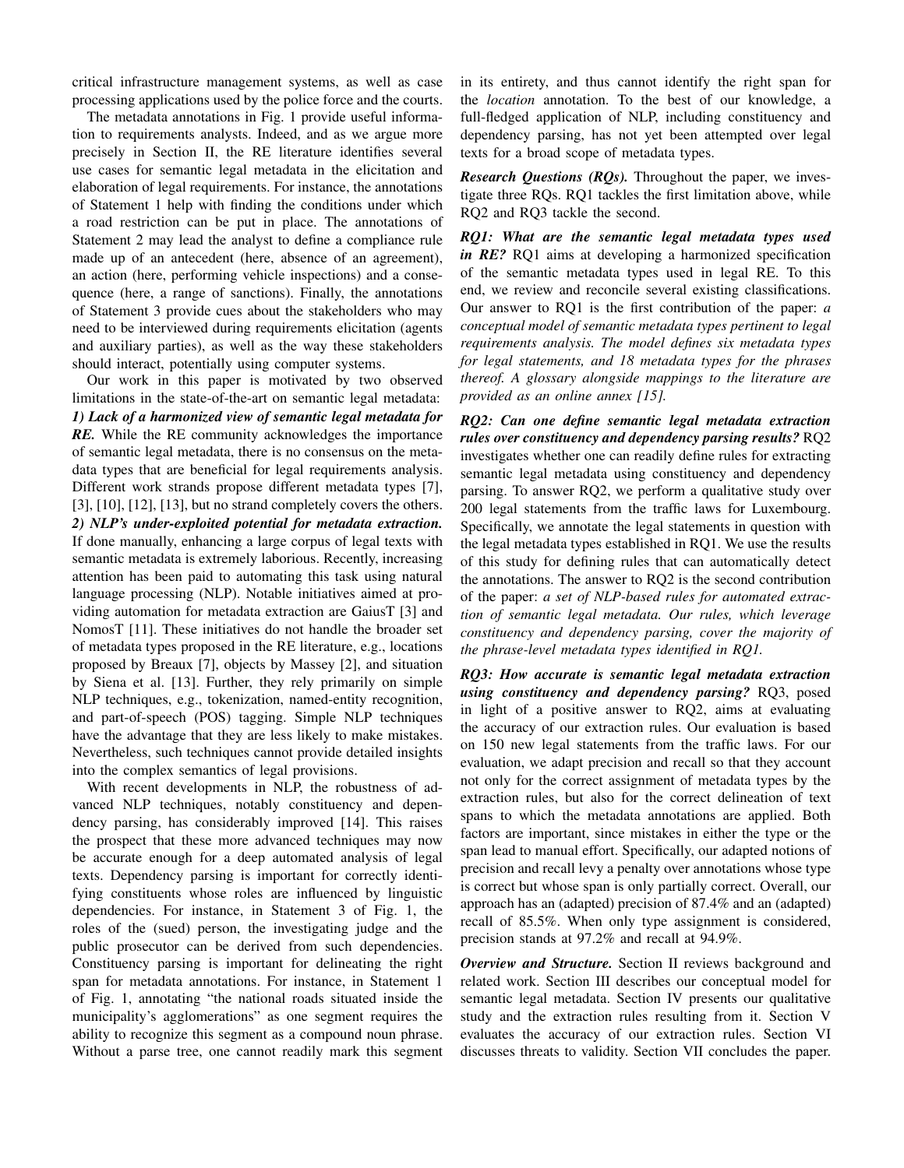critical infrastructure management systems, as well as case processing applications used by the police force and the courts.

The metadata annotations in Fig. 1 provide useful information to requirements analysts. Indeed, and as we argue more precisely in Section II, the RE literature identifies several use cases for semantic legal metadata in the elicitation and elaboration of legal requirements. For instance, the annotations of Statement 1 help with finding the conditions under which a road restriction can be put in place. The annotations of Statement 2 may lead the analyst to define a compliance rule made up of an antecedent (here, absence of an agreement), an action (here, performing vehicle inspections) and a consequence (here, a range of sanctions). Finally, the annotations of Statement 3 provide cues about the stakeholders who may need to be interviewed during requirements elicitation (agents and auxiliary parties), as well as the way these stakeholders should interact, potentially using computer systems.

Our work in this paper is motivated by two observed limitations in the state-of-the-art on semantic legal metadata: *1) Lack of a harmonized view of semantic legal metadata for RE.* While the RE community acknowledges the importance of semantic legal metadata, there is no consensus on the metadata types that are beneficial for legal requirements analysis. Different work strands propose different metadata types [7],  $[3]$ ,  $[10]$ ,  $[12]$ ,  $[13]$ , but no strand completely covers the others. *2) NLP's under-exploited potential for metadata extraction.* If done manually, enhancing a large corpus of legal texts with semantic metadata is extremely laborious. Recently, increasing attention has been paid to automating this task using natural language processing (NLP). Notable initiatives aimed at providing automation for metadata extraction are GaiusT [3] and NomosT [11]. These initiatives do not handle the broader set of metadata types proposed in the RE literature, e.g., locations proposed by Breaux [7], objects by Massey [2], and situation by Siena et al. [13]. Further, they rely primarily on simple NLP techniques, e.g., tokenization, named-entity recognition, and part-of-speech (POS) tagging. Simple NLP techniques have the advantage that they are less likely to make mistakes. Nevertheless, such techniques cannot provide detailed insights into the complex semantics of legal provisions.

With recent developments in NLP, the robustness of advanced NLP techniques, notably constituency and dependency parsing, has considerably improved [14]. This raises the prospect that these more advanced techniques may now be accurate enough for a deep automated analysis of legal texts. Dependency parsing is important for correctly identifying constituents whose roles are influenced by linguistic dependencies. For instance, in Statement 3 of Fig. 1, the roles of the (sued) person, the investigating judge and the public prosecutor can be derived from such dependencies. Constituency parsing is important for delineating the right span for metadata annotations. For instance, in Statement 1 of Fig. 1, annotating "the national roads situated inside the municipality's agglomerations" as one segment requires the ability to recognize this segment as a compound noun phrase. Without a parse tree, one cannot readily mark this segment in its entirety, and thus cannot identify the right span for the *location* annotation. To the best of our knowledge, a full-fledged application of NLP, including constituency and dependency parsing, has not yet been attempted over legal texts for a broad scope of metadata types.

*Research Questions (RQs).* Throughout the paper, we investigate three RQs. RQ1 tackles the first limitation above, while RQ2 and RQ3 tackle the second.

*RQ1: What are the semantic legal metadata types used in RE?* RQ1 aims at developing a harmonized specification of the semantic metadata types used in legal RE. To this end, we review and reconcile several existing classifications. Our answer to RQ1 is the first contribution of the paper: *a conceptual model of semantic metadata types pertinent to legal requirements analysis. The model defines six metadata types for legal statements, and 18 metadata types for the phrases thereof. A glossary alongside mappings to the literature are provided as an online annex [15].*

*RQ2: Can one define semantic legal metadata extraction rules over constituency and dependency parsing results?* RQ2 investigates whether one can readily define rules for extracting semantic legal metadata using constituency and dependency parsing. To answer RQ2, we perform a qualitative study over 200 legal statements from the traffic laws for Luxembourg. Specifically, we annotate the legal statements in question with the legal metadata types established in RQ1. We use the results of this study for defining rules that can automatically detect the annotations. The answer to RQ2 is the second contribution of the paper: *a set of NLP-based rules for automated extraction of semantic legal metadata. Our rules, which leverage constituency and dependency parsing, cover the majority of the phrase-level metadata types identified in RQ1.*

*RQ3: How accurate is semantic legal metadata extraction using constituency and dependency parsing?* RQ3, posed in light of a positive answer to RQ2, aims at evaluating the accuracy of our extraction rules. Our evaluation is based on 150 new legal statements from the traffic laws. For our evaluation, we adapt precision and recall so that they account not only for the correct assignment of metadata types by the extraction rules, but also for the correct delineation of text spans to which the metadata annotations are applied. Both factors are important, since mistakes in either the type or the span lead to manual effort. Specifically, our adapted notions of precision and recall levy a penalty over annotations whose type is correct but whose span is only partially correct. Overall, our approach has an (adapted) precision of 87.4% and an (adapted) recall of 85.5%. When only type assignment is considered, precision stands at 97.2% and recall at 94.9%.

*Overview and Structure.* Section II reviews background and related work. Section III describes our conceptual model for semantic legal metadata. Section IV presents our qualitative study and the extraction rules resulting from it. Section V evaluates the accuracy of our extraction rules. Section VI discusses threats to validity. Section VII concludes the paper.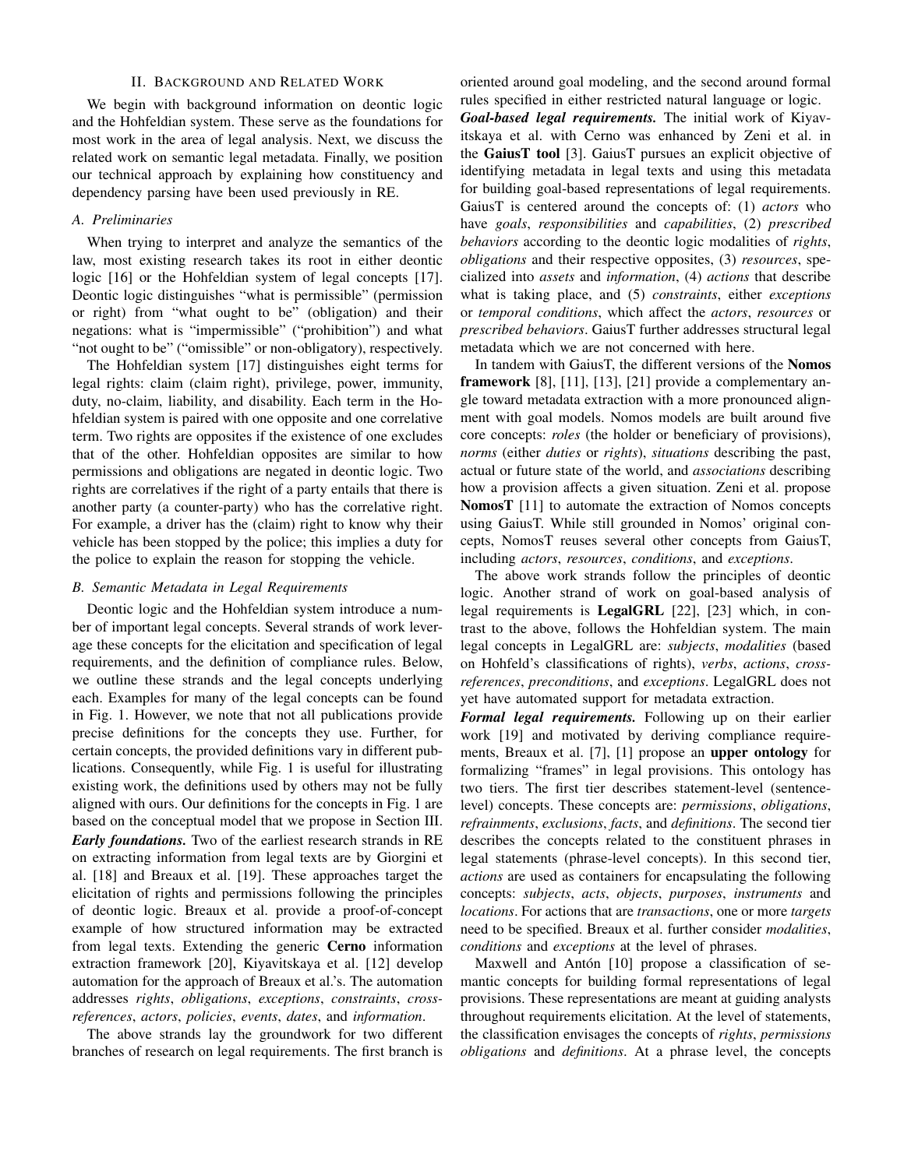## II. BACKGROUND AND RELATED WORK

We begin with background information on deontic logic and the Hohfeldian system. These serve as the foundations for most work in the area of legal analysis. Next, we discuss the related work on semantic legal metadata. Finally, we position our technical approach by explaining how constituency and dependency parsing have been used previously in RE.

## *A. Preliminaries*

When trying to interpret and analyze the semantics of the law, most existing research takes its root in either deontic logic [16] or the Hohfeldian system of legal concepts [17]. Deontic logic distinguishes "what is permissible" (permission or right) from "what ought to be" (obligation) and their negations: what is "impermissible" ("prohibition") and what "not ought to be" ("omissible" or non-obligatory), respectively.

The Hohfeldian system [17] distinguishes eight terms for legal rights: claim (claim right), privilege, power, immunity, duty, no-claim, liability, and disability. Each term in the Hohfeldian system is paired with one opposite and one correlative term. Two rights are opposites if the existence of one excludes that of the other. Hohfeldian opposites are similar to how permissions and obligations are negated in deontic logic. Two rights are correlatives if the right of a party entails that there is another party (a counter-party) who has the correlative right. For example, a driver has the (claim) right to know why their vehicle has been stopped by the police; this implies a duty for the police to explain the reason for stopping the vehicle.

### *B. Semantic Metadata in Legal Requirements*

Deontic logic and the Hohfeldian system introduce a number of important legal concepts. Several strands of work leverage these concepts for the elicitation and specification of legal requirements, and the definition of compliance rules. Below, we outline these strands and the legal concepts underlying each. Examples for many of the legal concepts can be found in Fig. 1. However, we note that not all publications provide precise definitions for the concepts they use. Further, for certain concepts, the provided definitions vary in different publications. Consequently, while Fig. 1 is useful for illustrating existing work, the definitions used by others may not be fully aligned with ours. Our definitions for the concepts in Fig. 1 are based on the conceptual model that we propose in Section III. *Early foundations.* Two of the earliest research strands in RE on extracting information from legal texts are by Giorgini et al. [18] and Breaux et al. [19]. These approaches target the elicitation of rights and permissions following the principles of deontic logic. Breaux et al. provide a proof-of-concept example of how structured information may be extracted from legal texts. Extending the generic Cerno information extraction framework [20], Kiyavitskaya et al. [12] develop automation for the approach of Breaux et al.'s. The automation addresses *rights*, *obligations*, *exceptions*, *constraints*, *crossreferences*, *actors*, *policies*, *events*, *dates*, and *information*.

The above strands lay the groundwork for two different branches of research on legal requirements. The first branch is

oriented around goal modeling, and the second around formal rules specified in either restricted natural language or logic.

*Goal-based legal requirements.* The initial work of Kiyavitskaya et al. with Cerno was enhanced by Zeni et al. in the GaiusT tool [3]. GaiusT pursues an explicit objective of identifying metadata in legal texts and using this metadata for building goal-based representations of legal requirements. GaiusT is centered around the concepts of: (1) *actors* who have *goals*, *responsibilities* and *capabilities*, (2) *prescribed behaviors* according to the deontic logic modalities of *rights*, *obligations* and their respective opposites, (3) *resources*, specialized into *assets* and *information*, (4) *actions* that describe what is taking place, and (5) *constraints*, either *exceptions* or *temporal conditions*, which affect the *actors*, *resources* or *prescribed behaviors*. GaiusT further addresses structural legal metadata which we are not concerned with here.

In tandem with GaiusT, the different versions of the Nomos framework [8], [11], [13], [21] provide a complementary angle toward metadata extraction with a more pronounced alignment with goal models. Nomos models are built around five core concepts: *roles* (the holder or beneficiary of provisions), *norms* (either *duties* or *rights*), *situations* describing the past, actual or future state of the world, and *associations* describing how a provision affects a given situation. Zeni et al. propose NomosT [11] to automate the extraction of Nomos concepts using GaiusT. While still grounded in Nomos' original concepts, NomosT reuses several other concepts from GaiusT, including *actors*, *resources*, *conditions*, and *exceptions*.

The above work strands follow the principles of deontic logic. Another strand of work on goal-based analysis of legal requirements is LegalGRL [22], [23] which, in contrast to the above, follows the Hohfeldian system. The main legal concepts in LegalGRL are: *subjects*, *modalities* (based on Hohfeld's classifications of rights), *verbs*, *actions*, *crossreferences*, *preconditions*, and *exceptions*. LegalGRL does not yet have automated support for metadata extraction.

*Formal legal requirements.* Following up on their earlier work [19] and motivated by deriving compliance requirements, Breaux et al. [7], [1] propose an upper ontology for formalizing "frames" in legal provisions. This ontology has two tiers. The first tier describes statement-level (sentencelevel) concepts. These concepts are: *permissions*, *obligations*, *refrainments*, *exclusions*, *facts*, and *definitions*. The second tier describes the concepts related to the constituent phrases in legal statements (phrase-level concepts). In this second tier, *actions* are used as containers for encapsulating the following concepts: *subjects*, *acts*, *objects*, *purposes*, *instruments* and *locations*. For actions that are *transactions*, one or more *targets* need to be specified. Breaux et al. further consider *modalities*, *conditions* and *exceptions* at the level of phrases.

Maxwell and Antón [10] propose a classification of semantic concepts for building formal representations of legal provisions. These representations are meant at guiding analysts throughout requirements elicitation. At the level of statements, the classification envisages the concepts of *rights*, *permissions obligations* and *definitions*. At a phrase level, the concepts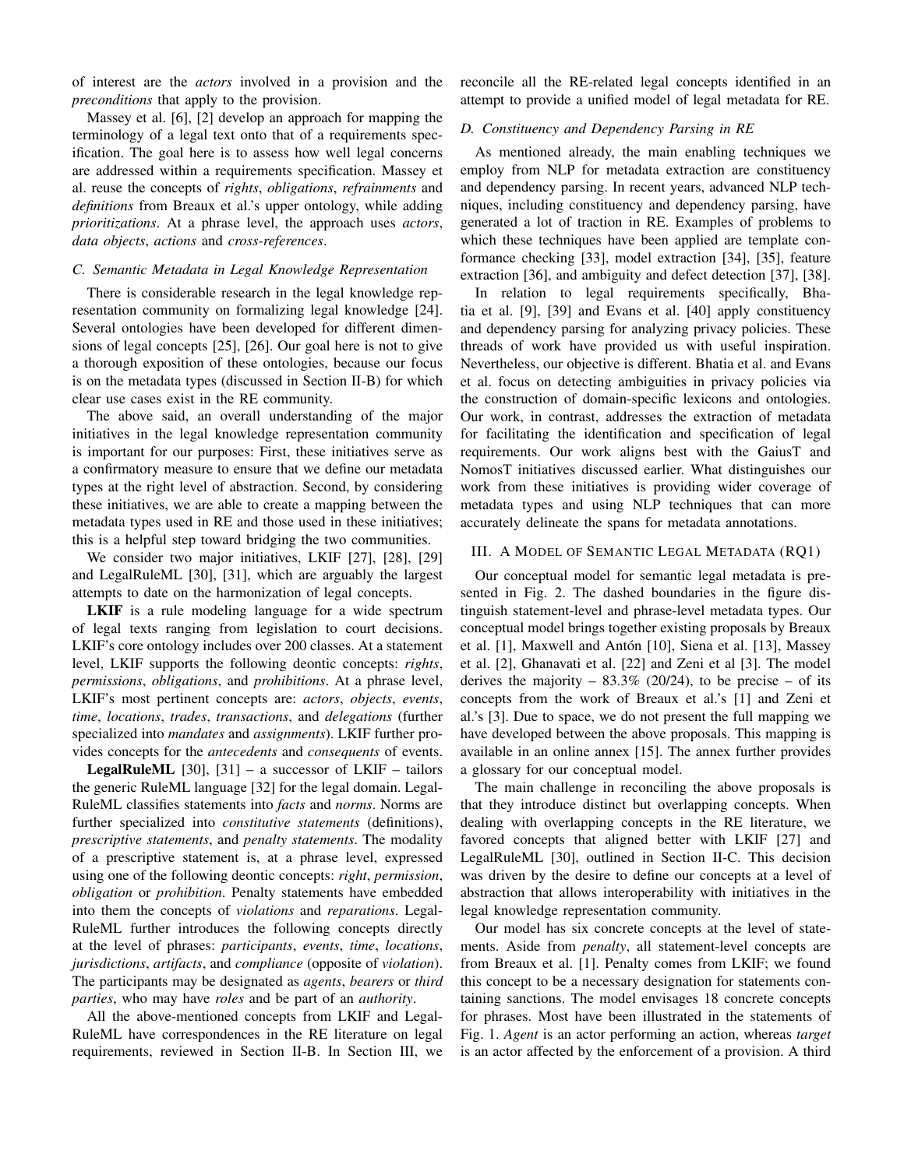of interest are the *actors* involved in a provision and the *preconditions* that apply to the provision.

Massey et al. [6], [2] develop an approach for mapping the terminology of a legal text onto that of a requirements specification. The goal here is to assess how well legal concerns are addressed within a requirements specification. Massey et al. reuse the concepts of *rights*, *obligations*, *refrainments* and *definitions* from Breaux et al.'s upper ontology, while adding *prioritizations*. At a phrase level, the approach uses *actors*, *data objects*, *actions* and *cross-references*.

# *C. Semantic Metadata in Legal Knowledge Representation*

There is considerable research in the legal knowledge representation community on formalizing legal knowledge [24]. Several ontologies have been developed for different dimensions of legal concepts [25], [26]. Our goal here is not to give a thorough exposition of these ontologies, because our focus is on the metadata types (discussed in Section II-B) for which clear use cases exist in the RE community.

The above said, an overall understanding of the major initiatives in the legal knowledge representation community is important for our purposes: First, these initiatives serve as a confirmatory measure to ensure that we define our metadata types at the right level of abstraction. Second, by considering these initiatives, we are able to create a mapping between the metadata types used in RE and those used in these initiatives; this is a helpful step toward bridging the two communities.

We consider two major initiatives, LKIF [27], [28], [29] and LegalRuleML [30], [31], which are arguably the largest attempts to date on the harmonization of legal concepts.

LKIF is a rule modeling language for a wide spectrum of legal texts ranging from legislation to court decisions. LKIF's core ontology includes over 200 classes. At a statement level, LKIF supports the following deontic concepts: *rights*, *permissions*, *obligations*, and *prohibitions*. At a phrase level, LKIF's most pertinent concepts are: *actors*, *objects*, *events*, *time*, *locations*, *trades*, *transactions*, and *delegations* (further specialized into *mandates* and *assignments*). LKIF further provides concepts for the *antecedents* and *consequents* of events.

**LegalRuleML** [30], [31] – a successor of LKIF – tailors the generic RuleML language [32] for the legal domain. Legal-RuleML classifies statements into *facts* and *norms*. Norms are further specialized into *constitutive statements* (definitions), *prescriptive statements*, and *penalty statements*. The modality of a prescriptive statement is, at a phrase level, expressed using one of the following deontic concepts: *right*, *permission*, *obligation* or *prohibition*. Penalty statements have embedded into them the concepts of *violations* and *reparations*. Legal-RuleML further introduces the following concepts directly at the level of phrases: *participants*, *events*, *time*, *locations*, *jurisdictions*, *artifacts*, and *compliance* (opposite of *violation*). The participants may be designated as *agents*, *bearers* or *third parties*, who may have *roles* and be part of an *authority*.

All the above-mentioned concepts from LKIF and Legal-RuleML have correspondences in the RE literature on legal requirements, reviewed in Section II-B. In Section III, we reconcile all the RE-related legal concepts identified in an attempt to provide a unified model of legal metadata for RE.

# *D. Constituency and Dependency Parsing in RE*

As mentioned already, the main enabling techniques we employ from NLP for metadata extraction are constituency and dependency parsing. In recent years, advanced NLP techniques, including constituency and dependency parsing, have generated a lot of traction in RE. Examples of problems to which these techniques have been applied are template conformance checking [33], model extraction [34], [35], feature extraction [36], and ambiguity and defect detection [37], [38].

In relation to legal requirements specifically, Bhatia et al. [9], [39] and Evans et al. [40] apply constituency and dependency parsing for analyzing privacy policies. These threads of work have provided us with useful inspiration. Nevertheless, our objective is different. Bhatia et al. and Evans et al. focus on detecting ambiguities in privacy policies via the construction of domain-specific lexicons and ontologies. Our work, in contrast, addresses the extraction of metadata for facilitating the identification and specification of legal requirements. Our work aligns best with the GaiusT and NomosT initiatives discussed earlier. What distinguishes our work from these initiatives is providing wider coverage of metadata types and using NLP techniques that can more accurately delineate the spans for metadata annotations.

# III. A MODEL OF SEMANTIC LEGAL METADATA (RQ1)

Our conceptual model for semantic legal metadata is presented in Fig. 2. The dashed boundaries in the figure distinguish statement-level and phrase-level metadata types. Our conceptual model brings together existing proposals by Breaux et al. [1], Maxwell and Antón [10], Siena et al. [13], Massey et al. [2], Ghanavati et al. [22] and Zeni et al [3]. The model derives the majority –  $83.3\%$  (20/24), to be precise – of its concepts from the work of Breaux et al.'s [1] and Zeni et al.'s [3]. Due to space, we do not present the full mapping we have developed between the above proposals. This mapping is available in an online annex [15]. The annex further provides a glossary for our conceptual model.

The main challenge in reconciling the above proposals is that they introduce distinct but overlapping concepts. When dealing with overlapping concepts in the RE literature, we favored concepts that aligned better with LKIF [27] and LegalRuleML [30], outlined in Section II-C. This decision was driven by the desire to define our concepts at a level of abstraction that allows interoperability with initiatives in the legal knowledge representation community.

Our model has six concrete concepts at the level of statements. Aside from *penalty*, all statement-level concepts are from Breaux et al. [1]. Penalty comes from LKIF; we found this concept to be a necessary designation for statements containing sanctions. The model envisages 18 concrete concepts for phrases. Most have been illustrated in the statements of Fig. 1. *Agent* is an actor performing an action, whereas *target* is an actor affected by the enforcement of a provision. A third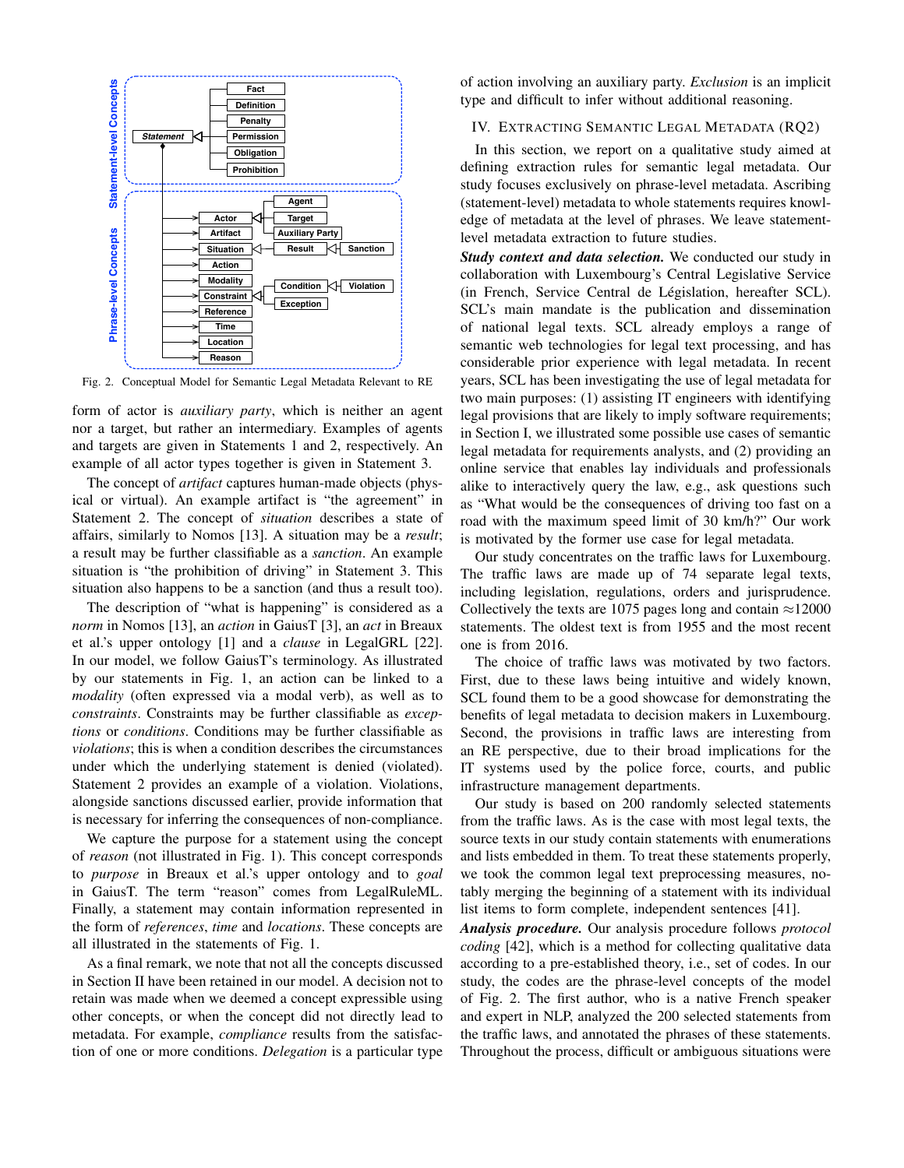

Fig. 2. Conceptual Model for Semantic Legal Metadata Relevant to RE

form of actor is *auxiliary party*, which is neither an agent nor a target, but rather an intermediary. Examples of agents and targets are given in Statements 1 and 2, respectively. An example of all actor types together is given in Statement 3.

The concept of *artifact* captures human-made objects (physical or virtual). An example artifact is "the agreement" in Statement 2. The concept of *situation* describes a state of affairs, similarly to Nomos [13]. A situation may be a *result*; a result may be further classifiable as a *sanction*. An example situation is "the prohibition of driving" in Statement 3. This situation also happens to be a sanction (and thus a result too).

The description of "what is happening" is considered as a *norm* in Nomos [13], an *action* in GaiusT [3], an *act* in Breaux et al.'s upper ontology [1] and a *clause* in LegalGRL [22]. In our model, we follow GaiusT's terminology. As illustrated by our statements in Fig. 1, an action can be linked to a *modality* (often expressed via a modal verb), as well as to *constraints*. Constraints may be further classifiable as *exceptions* or *conditions*. Conditions may be further classifiable as *violations*; this is when a condition describes the circumstances under which the underlying statement is denied (violated). Statement 2 provides an example of a violation. Violations, alongside sanctions discussed earlier, provide information that is necessary for inferring the consequences of non-compliance.

We capture the purpose for a statement using the concept of *reason* (not illustrated in Fig. 1). This concept corresponds to *purpose* in Breaux et al.'s upper ontology and to *goal* in GaiusT. The term "reason" comes from LegalRuleML. Finally, a statement may contain information represented in the form of *references*, *time* and *locations*. These concepts are all illustrated in the statements of Fig. 1.

As a final remark, we note that not all the concepts discussed in Section II have been retained in our model. A decision not to retain was made when we deemed a concept expressible using other concepts, or when the concept did not directly lead to metadata. For example, *compliance* results from the satisfaction of one or more conditions. *Delegation* is a particular type

of action involving an auxiliary party. *Exclusion* is an implicit type and difficult to infer without additional reasoning.

# IV. EXTRACTING SEMANTIC LEGAL METADATA (RQ2)

In this section, we report on a qualitative study aimed at defining extraction rules for semantic legal metadata. Our study focuses exclusively on phrase-level metadata. Ascribing (statement-level) metadata to whole statements requires knowledge of metadata at the level of phrases. We leave statementlevel metadata extraction to future studies.

*Study context and data selection.* We conducted our study in collaboration with Luxembourg's Central Legislative Service (in French, Service Central de Législation, hereafter SCL). SCL's main mandate is the publication and dissemination of national legal texts. SCL already employs a range of semantic web technologies for legal text processing, and has considerable prior experience with legal metadata. In recent years, SCL has been investigating the use of legal metadata for two main purposes: (1) assisting IT engineers with identifying legal provisions that are likely to imply software requirements; in Section I, we illustrated some possible use cases of semantic legal metadata for requirements analysts, and (2) providing an online service that enables lay individuals and professionals alike to interactively query the law, e.g., ask questions such as "What would be the consequences of driving too fast on a road with the maximum speed limit of 30 km/h?" Our work is motivated by the former use case for legal metadata.

Our study concentrates on the traffic laws for Luxembourg. The traffic laws are made up of 74 separate legal texts, including legislation, regulations, orders and jurisprudence. Collectively the texts are 1075 pages long and contain  $\approx$ 12000 statements. The oldest text is from 1955 and the most recent one is from 2016.

The choice of traffic laws was motivated by two factors. First, due to these laws being intuitive and widely known, SCL found them to be a good showcase for demonstrating the benefits of legal metadata to decision makers in Luxembourg. Second, the provisions in traffic laws are interesting from an RE perspective, due to their broad implications for the IT systems used by the police force, courts, and public infrastructure management departments.

Our study is based on 200 randomly selected statements from the traffic laws. As is the case with most legal texts, the source texts in our study contain statements with enumerations and lists embedded in them. To treat these statements properly, we took the common legal text preprocessing measures, notably merging the beginning of a statement with its individual list items to form complete, independent sentences [41].

*Analysis procedure.* Our analysis procedure follows *protocol coding* [42], which is a method for collecting qualitative data according to a pre-established theory, i.e., set of codes. In our study, the codes are the phrase-level concepts of the model of Fig. 2. The first author, who is a native French speaker and expert in NLP, analyzed the 200 selected statements from the traffic laws, and annotated the phrases of these statements. Throughout the process, difficult or ambiguous situations were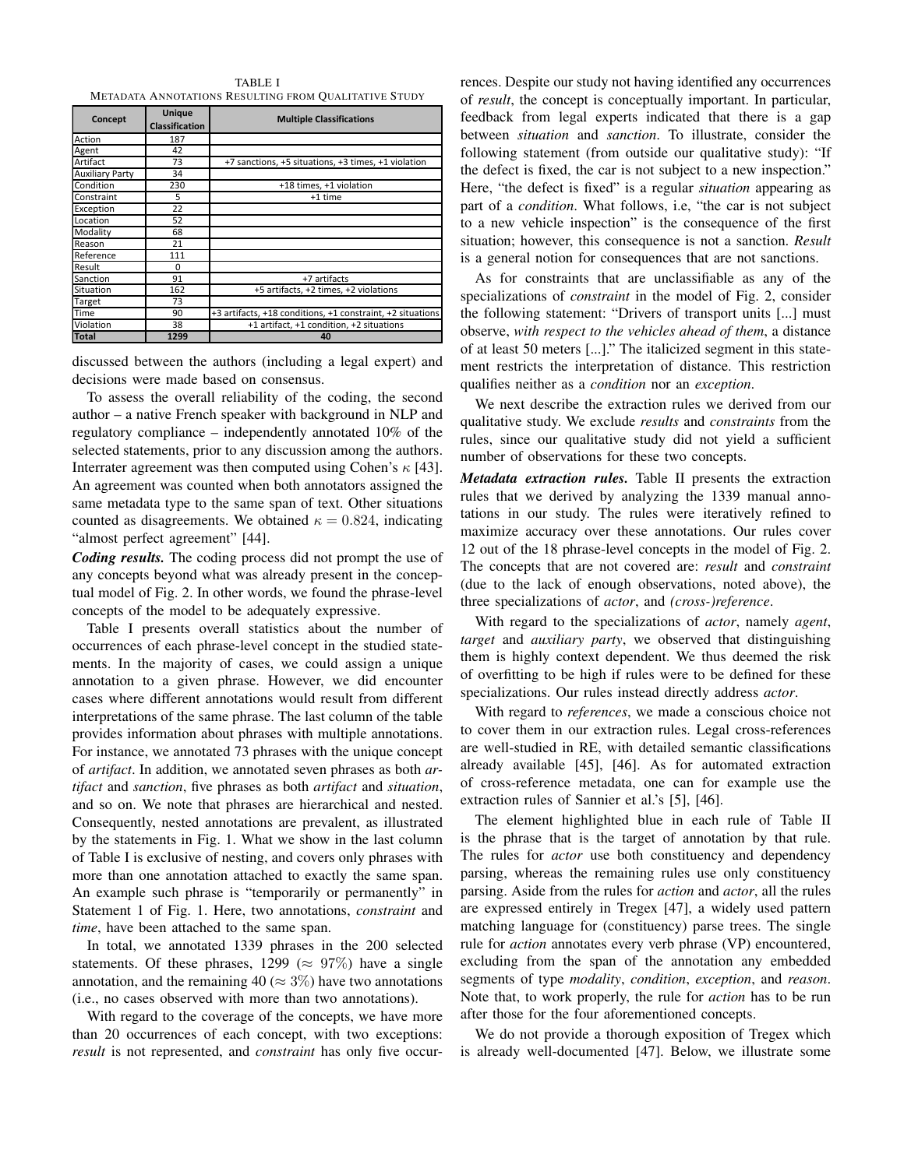TABLE I METADATA ANNOTATIONS RESULTING FROM QUALITATIVE STUDY

| Concept                | <b>Unique</b><br><b>Classification</b> | <b>Multiple Classifications</b>                            |  |  |  |
|------------------------|----------------------------------------|------------------------------------------------------------|--|--|--|
| Action                 | 187                                    |                                                            |  |  |  |
| Agent                  | 42                                     |                                                            |  |  |  |
| Artifact               | 73                                     | +7 sanctions, +5 situations, +3 times, +1 violation        |  |  |  |
| <b>Auxiliary Party</b> | 34                                     |                                                            |  |  |  |
| Condition              | 230                                    | +18 times, +1 violation                                    |  |  |  |
| Constraint             | 5                                      | +1 time                                                    |  |  |  |
| Exception              | 22                                     |                                                            |  |  |  |
| Location               | 52                                     |                                                            |  |  |  |
| Modality               | 68                                     |                                                            |  |  |  |
| Reason                 | 21                                     |                                                            |  |  |  |
| Reference              | 111                                    |                                                            |  |  |  |
| Result                 | $\Omega$                               |                                                            |  |  |  |
| Sanction               | 91                                     | +7 artifacts                                               |  |  |  |
| Situation              | 162                                    | +5 artifacts, +2 times, +2 violations                      |  |  |  |
| Target                 | 73                                     |                                                            |  |  |  |
| Time                   | 90                                     | +3 artifacts, +18 conditions, +1 constraint, +2 situations |  |  |  |
| Violation              | 38                                     | +1 artifact, +1 condition, +2 situations                   |  |  |  |
| <b>Total</b>           | 1299                                   | 40                                                         |  |  |  |

discussed between the authors (including a legal expert) and decisions were made based on consensus.

To assess the overall reliability of the coding, the second author – a native French speaker with background in NLP and regulatory compliance – independently annotated 10% of the selected statements, prior to any discussion among the authors. Interrater agreement was then computed using Cohen's  $\kappa$  [43]. An agreement was counted when both annotators assigned the same metadata type to the same span of text. Other situations counted as disagreements. We obtained  $\kappa = 0.824$ , indicating "almost perfect agreement" [44].

*Coding results.* The coding process did not prompt the use of any concepts beyond what was already present in the conceptual model of Fig. 2. In other words, we found the phrase-level concepts of the model to be adequately expressive.

Table I presents overall statistics about the number of occurrences of each phrase-level concept in the studied statements. In the majority of cases, we could assign a unique annotation to a given phrase. However, we did encounter cases where different annotations would result from different interpretations of the same phrase. The last column of the table provides information about phrases with multiple annotations. For instance, we annotated 73 phrases with the unique concept of *artifact*. In addition, we annotated seven phrases as both *artifact* and *sanction*, five phrases as both *artifact* and *situation*, and so on. We note that phrases are hierarchical and nested. Consequently, nested annotations are prevalent, as illustrated by the statements in Fig. 1. What we show in the last column of Table I is exclusive of nesting, and covers only phrases with more than one annotation attached to exactly the same span. An example such phrase is "temporarily or permanently" in Statement 1 of Fig. 1. Here, two annotations, *constraint* and *time*, have been attached to the same span.

In total, we annotated 1339 phrases in the 200 selected statements. Of these phrases, 1299 ( $\approx$  97%) have a single annotation, and the remaining  $40 \approx 3\%$ ) have two annotations (i.e., no cases observed with more than two annotations).

With regard to the coverage of the concepts, we have more than 20 occurrences of each concept, with two exceptions: *result* is not represented, and *constraint* has only five occurrences. Despite our study not having identified any occurrences of *result*, the concept is conceptually important. In particular, feedback from legal experts indicated that there is a gap between *situation* and *sanction*. To illustrate, consider the following statement (from outside our qualitative study): "If the defect is fixed, the car is not subject to a new inspection." Here, "the defect is fixed" is a regular *situation* appearing as part of a *condition*. What follows, i.e, "the car is not subject to a new vehicle inspection" is the consequence of the first situation; however, this consequence is not a sanction. *Result* is a general notion for consequences that are not sanctions.

As for constraints that are unclassifiable as any of the specializations of *constraint* in the model of Fig. 2, consider the following statement: "Drivers of transport units [...] must observe, *with respect to the vehicles ahead of them*, a distance of at least 50 meters [...]." The italicized segment in this statement restricts the interpretation of distance. This restriction qualifies neither as a *condition* nor an *exception*.

We next describe the extraction rules we derived from our qualitative study. We exclude *results* and *constraints* from the rules, since our qualitative study did not yield a sufficient number of observations for these two concepts.

*Metadata extraction rules.* Table II presents the extraction rules that we derived by analyzing the 1339 manual annotations in our study. The rules were iteratively refined to maximize accuracy over these annotations. Our rules cover 12 out of the 18 phrase-level concepts in the model of Fig. 2. The concepts that are not covered are: *result* and *constraint* (due to the lack of enough observations, noted above), the three specializations of *actor*, and *(cross-)reference*.

With regard to the specializations of *actor*, namely *agent*, *target* and *auxiliary party*, we observed that distinguishing them is highly context dependent. We thus deemed the risk of overfitting to be high if rules were to be defined for these specializations. Our rules instead directly address *actor*.

With regard to *references*, we made a conscious choice not to cover them in our extraction rules. Legal cross-references are well-studied in RE, with detailed semantic classifications already available [45], [46]. As for automated extraction of cross-reference metadata, one can for example use the extraction rules of Sannier et al.'s [5], [46].

The element highlighted blue in each rule of Table II is the phrase that is the target of annotation by that rule. The rules for *actor* use both constituency and dependency parsing, whereas the remaining rules use only constituency parsing. Aside from the rules for *action* and *actor*, all the rules are expressed entirely in Tregex [47], a widely used pattern matching language for (constituency) parse trees. The single rule for *action* annotates every verb phrase (VP) encountered, excluding from the span of the annotation any embedded segments of type *modality*, *condition*, *exception*, and *reason*. Note that, to work properly, the rule for *action* has to be run after those for the four aforementioned concepts.

We do not provide a thorough exposition of Tregex which is already well-documented [47]. Below, we illustrate some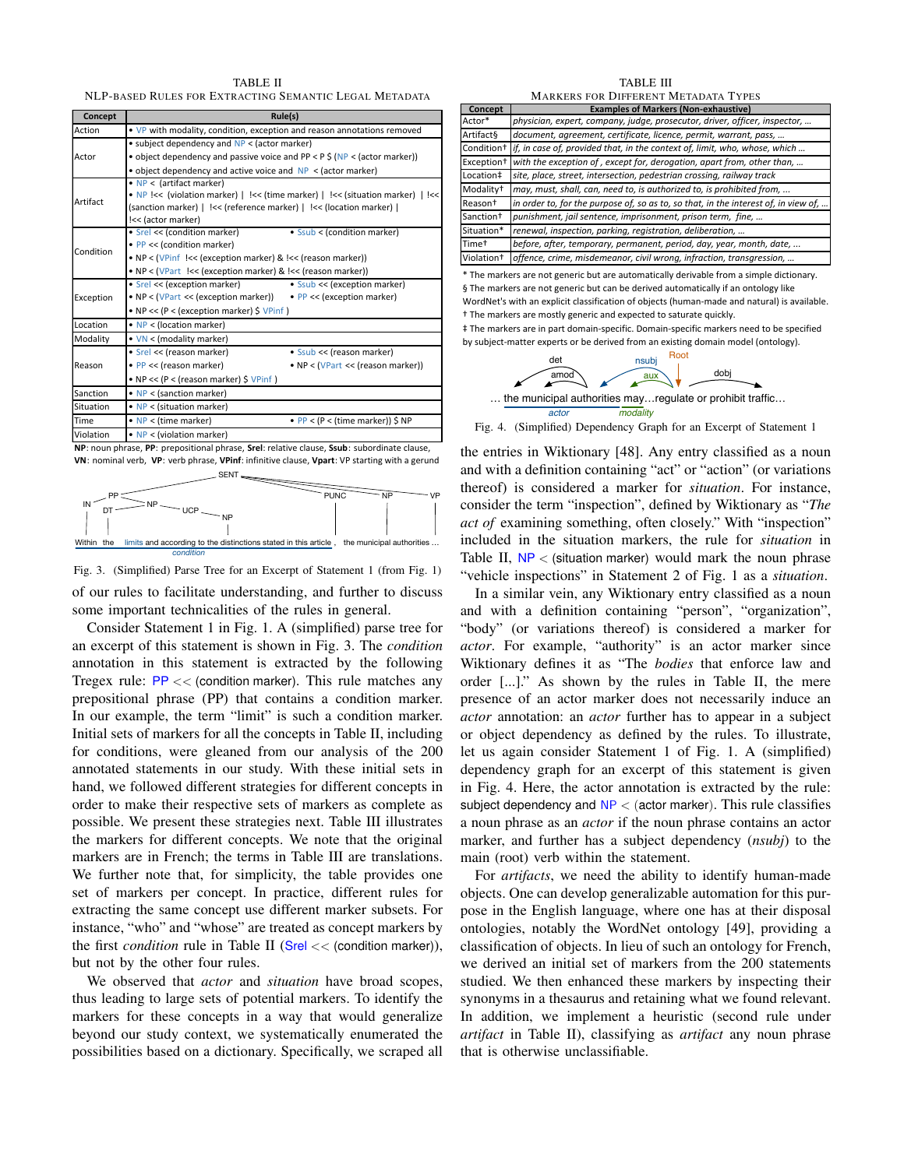TABLE II NLP-BASED RULES FOR EXTRACTING SEMANTIC LEGAL METADATA

| Concept   | Rule(s)                                                                                        |                                                                                |  |  |  |  |
|-----------|------------------------------------------------------------------------------------------------|--------------------------------------------------------------------------------|--|--|--|--|
| Action    | . VP with modality, condition, exception and reason annotations removed                        |                                                                                |  |  |  |  |
|           | • subject dependency and NP < (actor marker)                                                   |                                                                                |  |  |  |  |
| Actor     | • object dependency and passive voice and PP < $P$ \$ (NP < (actor marker))                    |                                                                                |  |  |  |  |
|           | . object dependency and active voice and NP < (actor marker)                                   |                                                                                |  |  |  |  |
| Artifact  | • NP < (artifact marker)<br>(sanction marker)   !<< (reference marker)   !<< (location marker) | • NP !<< (violation marker)   !<< (time marker)   !<< (situation marker)   !<< |  |  |  |  |
|           | !<< (actor marker)                                                                             |                                                                                |  |  |  |  |
|           | • Srel << (condition marker)<br>• PP << (condition marker)                                     | • Ssub < (condition marker)                                                    |  |  |  |  |
| Condition | • NP < (VPinf !<< (exception marker) & !<< (reason marker))                                    |                                                                                |  |  |  |  |
|           | • NP < (VPart !<< (exception marker) & !<< (reason marker))                                    |                                                                                |  |  |  |  |
|           | • Srel << (exception marker) • Ssub << (exception marker)                                      |                                                                                |  |  |  |  |
| Exception | • NP < (VPart << (exception marker)) • PP << (exception marker)                                |                                                                                |  |  |  |  |
|           | • NP << (P < (exception marker) \$ VPinf)                                                      |                                                                                |  |  |  |  |
| Location  | • NP < (location marker)                                                                       |                                                                                |  |  |  |  |
| Modality  | • VN < (modality marker)                                                                       |                                                                                |  |  |  |  |
|           | • Srel << (reason marker)                                                                      | • Ssub << (reason marker)                                                      |  |  |  |  |
| Reason    | • PP << (reason marker)                                                                        | • NP < (VPart << (reason marker))                                              |  |  |  |  |
|           | • NP << (P < (reason marker) \$ VPinf)                                                         |                                                                                |  |  |  |  |
| Sanction  | • NP < (sanction marker)                                                                       |                                                                                |  |  |  |  |
| Situation | • NP < (situation marker)                                                                      |                                                                                |  |  |  |  |
| Time      | $\bullet$ NP < (time marker)                                                                   | • PP < $(P <$ (time marker)) $\frac{6}{5}$ NP                                  |  |  |  |  |
| Violation | • NP < (violation marker)                                                                      |                                                                                |  |  |  |  |

NP: noun phrase, PP: prepositional phrase, Srel: relative clause, Ssub: subordinate clause, **VN**: nominal verb, VP: verb phrase, VPinf: infinitive clause, Vpart: VP starting with a gerund



*condition* Fig. 3. (Simplified) Parse Tree for an Excerpt of Statement 1 (from Fig. 1)

of our rules to facilitate understanding, and further to discuss some important technicalities of the rules in general.

Consider Statement 1 in Fig. 1. A (simplified) parse tree for an excerpt of this statement is shown in Fig. 3. The *condition* annotation in this statement is extracted by the following Tregex rule:  $PP \ll \text{(condition marker)}$ . This rule matches any prepositional phrase (PP) that contains a condition marker. In our example, the term "limit" is such a condition marker. Initial sets of markers for all the concepts in Table II, including for conditions, were gleaned from our analysis of the 200 annotated statements in our study. With these initial sets in hand, we followed different strategies for different concepts in order to make their respective sets of markers as complete as possible. We present these strategies next. Table III illustrates the markers for different concepts. We note that the original markers are in French; the terms in Table III are translations. We further note that, for simplicity, the table provides one set of markers per concept. In practice, different rules for extracting the same concept use different marker subsets. For instance, "who" and "whose" are treated as concept markers by the first *condition* rule in Table II (Srel  $<<$  (condition marker)), but not by the other four rules.

We observed that *actor* and *situation* have broad scopes, thus leading to large sets of potential markers. To identify the markers for these concepts in a way that would generalize beyond our study context, we systematically enumerated the possibilities based on a dictionary. Specifically, we scraped all

TABLE III MARKERS FOR DIFFERENT METADATA TYPES

|                                                                                        | идициотов ритент иетората ттер                                                               |  |  |  |  |
|----------------------------------------------------------------------------------------|----------------------------------------------------------------------------------------------|--|--|--|--|
| Concept                                                                                | <b>Examples of Markers (Non-exhaustive)</b>                                                  |  |  |  |  |
| Actor*                                                                                 | physician, expert, company, judge, prosecutor, driver, officer, inspector,                   |  |  |  |  |
| Artifact§                                                                              | document, agreement, certificate, licence, permit, warrant, pass,                            |  |  |  |  |
|                                                                                        | Condition <i>if, in case of, provided that, in the context of, limit, who, whose, which </i> |  |  |  |  |
| Exception <sup>+</sup>                                                                 | with the exception of, except for, derogation, apart from, other than,                       |  |  |  |  |
| Location‡                                                                              | site, place, street, intersection, pedestrian crossing, railway track                        |  |  |  |  |
| Modality <sup>+</sup>                                                                  | may, must, shall, can, need to, is authorized to, is prohibited from,                        |  |  |  |  |
| Reason <sup>+</sup>                                                                    | in order to, for the purpose of, so as to, so that, in the interest of, in view of,          |  |  |  |  |
| Sanction <sup>+</sup>                                                                  | punishment, jail sentence, imprisonment, prison term, fine,                                  |  |  |  |  |
| Situation*                                                                             | renewal, inspection, parking, registration, deliberation,                                    |  |  |  |  |
| Time <sup>+</sup>                                                                      | before, after, temporary, permanent, period, day, year, month, date,                         |  |  |  |  |
| Violation <sup>+</sup>                                                                 | offence, crime, misdemeanor, civil wrong, infraction, transgression,                         |  |  |  |  |
| * The markers are not generic but are automatically derivable from a simple distingant |                                                                                              |  |  |  |  |

The markers are not generic but are automatically derivable from a simple dictionary § The markers are not generic but can be derived automatically if an ontology like WordNet's with an explicit classification of objects (human-made and natural) is available. <sup>†</sup> The markers are mostly generic and expected to saturate quickly.

 $\ddagger$  The markers are in part domain-specific. Domain-specific markers need to be specified by subject-matter experts or be derived from an existing domain model (ontology).



Fig. 4. (Simplified) Dependency Graph for an Excerpt of Statement 1

the entries in Wiktionary [48]. Any entry classified as a noun and with a definition containing "act" or "action" (or variations thereof) is considered a marker for *situation*. For instance, consider the term "inspection", defined by Wiktionary as "*The act of* examining something, often closely." With "inspection" included in the situation markers, the rule for *situation* in Table II,  $NP <$  (situation marker) would mark the noun phrase "vehicle inspections" in Statement 2 of Fig. 1 as a *situation*.

In a similar vein, any Wiktionary entry classified as a noun and with a definition containing "person", "organization", "body" (or variations thereof) is considered a marker for *actor*. For example, "authority" is an actor marker since Wiktionary defines it as "The *bodies* that enforce law and order [...]." As shown by the rules in Table II, the mere presence of an actor marker does not necessarily induce an *actor* annotation: an *actor* further has to appear in a subject or object dependency as defined by the rules. To illustrate, let us again consider Statement 1 of Fig. 1. A (simplified) dependency graph for an excerpt of this statement is given in Fig. 4. Here, the actor annotation is extracted by the rule: subject dependency and  $NP < (actor marker)$ . This rule classifies a noun phrase as an *actor* if the noun phrase contains an actor marker, and further has a subject dependency (*nsubj*) to the main (root) verb within the statement.

For *artifacts*, we need the ability to identify human-made objects. One can develop generalizable automation for this purpose in the English language, where one has at their disposal ontologies, notably the WordNet ontology [49], providing a classification of objects. In lieu of such an ontology for French, we derived an initial set of markers from the 200 statements studied. We then enhanced these markers by inspecting their synonyms in a thesaurus and retaining what we found relevant. In addition, we implement a heuristic (second rule under *artifact* in Table II), classifying as *artifact* any noun phrase that is otherwise unclassifiable.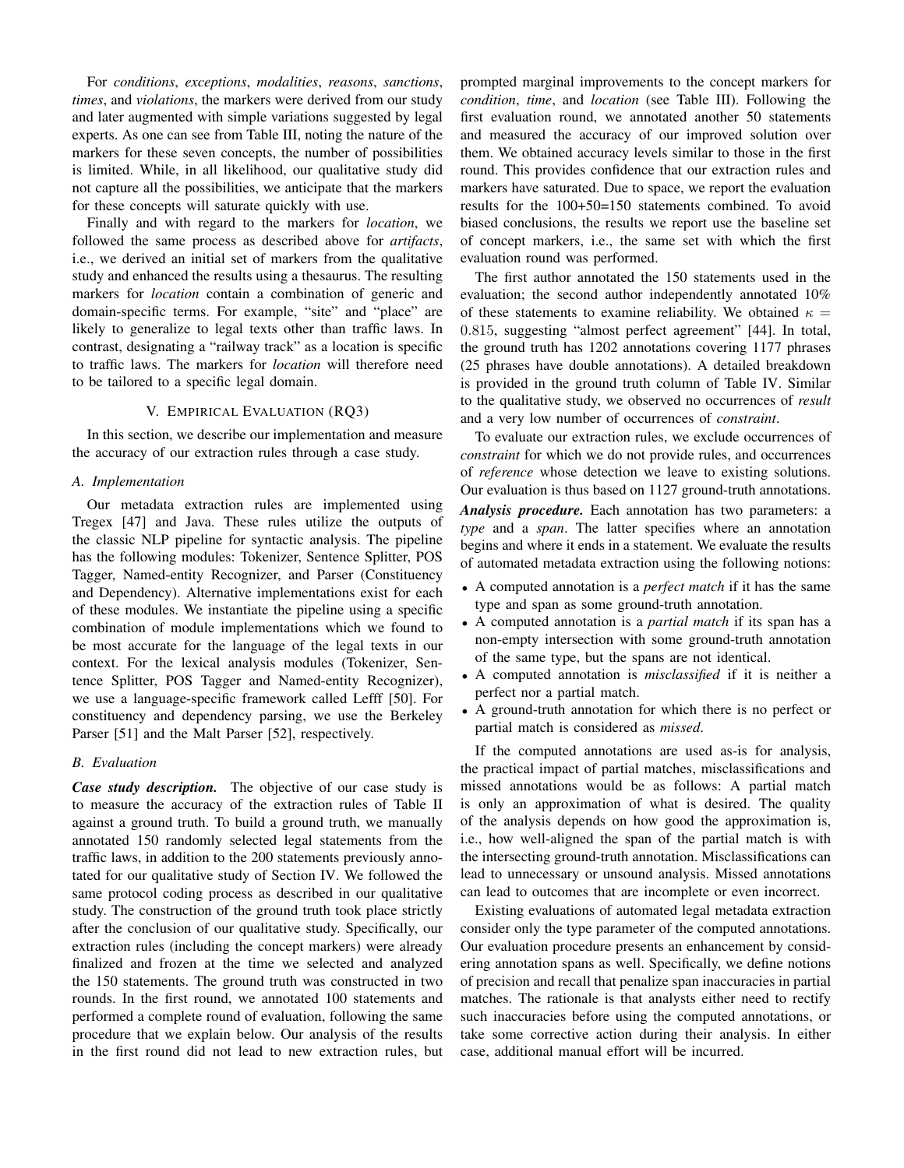For *conditions*, *exceptions*, *modalities*, *reasons*, *sanctions*, *times*, and *violations*, the markers were derived from our study and later augmented with simple variations suggested by legal experts. As one can see from Table III, noting the nature of the markers for these seven concepts, the number of possibilities is limited. While, in all likelihood, our qualitative study did not capture all the possibilities, we anticipate that the markers for these concepts will saturate quickly with use.

Finally and with regard to the markers for *location*, we followed the same process as described above for *artifacts*, i.e., we derived an initial set of markers from the qualitative study and enhanced the results using a thesaurus. The resulting markers for *location* contain a combination of generic and domain-specific terms. For example, "site" and "place" are likely to generalize to legal texts other than traffic laws. In contrast, designating a "railway track" as a location is specific to traffic laws. The markers for *location* will therefore need to be tailored to a specific legal domain.

# V. EMPIRICAL EVALUATION (RQ3)

In this section, we describe our implementation and measure the accuracy of our extraction rules through a case study.

#### *A. Implementation*

Our metadata extraction rules are implemented using Tregex [47] and Java. These rules utilize the outputs of the classic NLP pipeline for syntactic analysis. The pipeline has the following modules: Tokenizer, Sentence Splitter, POS Tagger, Named-entity Recognizer, and Parser (Constituency and Dependency). Alternative implementations exist for each of these modules. We instantiate the pipeline using a specific combination of module implementations which we found to be most accurate for the language of the legal texts in our context. For the lexical analysis modules (Tokenizer, Sentence Splitter, POS Tagger and Named-entity Recognizer), we use a language-specific framework called Lefff [50]. For constituency and dependency parsing, we use the Berkeley Parser [51] and the Malt Parser [52], respectively.

# *B. Evaluation*

*Case study description.* The objective of our case study is to measure the accuracy of the extraction rules of Table II against a ground truth. To build a ground truth, we manually annotated 150 randomly selected legal statements from the traffic laws, in addition to the 200 statements previously annotated for our qualitative study of Section IV. We followed the same protocol coding process as described in our qualitative study. The construction of the ground truth took place strictly after the conclusion of our qualitative study. Specifically, our extraction rules (including the concept markers) were already finalized and frozen at the time we selected and analyzed the 150 statements. The ground truth was constructed in two rounds. In the first round, we annotated 100 statements and performed a complete round of evaluation, following the same procedure that we explain below. Our analysis of the results in the first round did not lead to new extraction rules, but prompted marginal improvements to the concept markers for *condition*, *time*, and *location* (see Table III). Following the first evaluation round, we annotated another 50 statements and measured the accuracy of our improved solution over them. We obtained accuracy levels similar to those in the first round. This provides confidence that our extraction rules and markers have saturated. Due to space, we report the evaluation results for the 100+50=150 statements combined. To avoid biased conclusions, the results we report use the baseline set of concept markers, i.e., the same set with which the first evaluation round was performed.

The first author annotated the 150 statements used in the evaluation; the second author independently annotated 10% of these statements to examine reliability. We obtained  $\kappa =$ 0.815, suggesting "almost perfect agreement" [44]. In total, the ground truth has 1202 annotations covering 1177 phrases (25 phrases have double annotations). A detailed breakdown is provided in the ground truth column of Table IV. Similar to the qualitative study, we observed no occurrences of *result* and a very low number of occurrences of *constraint*.

To evaluate our extraction rules, we exclude occurrences of *constraint* for which we do not provide rules, and occurrences of *reference* whose detection we leave to existing solutions. Our evaluation is thus based on 1127 ground-truth annotations.

*Analysis procedure.* Each annotation has two parameters: a *type* and a *span*. The latter specifies where an annotation begins and where it ends in a statement. We evaluate the results of automated metadata extraction using the following notions:

- A computed annotation is a *perfect match* if it has the same type and span as some ground-truth annotation.
- A computed annotation is a *partial match* if its span has a non-empty intersection with some ground-truth annotation of the same type, but the spans are not identical.
- A computed annotation is *misclassified* if it is neither a perfect nor a partial match.
- A ground-truth annotation for which there is no perfect or partial match is considered as *missed*.

If the computed annotations are used as-is for analysis, the practical impact of partial matches, misclassifications and missed annotations would be as follows: A partial match is only an approximation of what is desired. The quality of the analysis depends on how good the approximation is, i.e., how well-aligned the span of the partial match is with the intersecting ground-truth annotation. Misclassifications can lead to unnecessary or unsound analysis. Missed annotations can lead to outcomes that are incomplete or even incorrect.

Existing evaluations of automated legal metadata extraction consider only the type parameter of the computed annotations. Our evaluation procedure presents an enhancement by considering annotation spans as well. Specifically, we define notions of precision and recall that penalize span inaccuracies in partial matches. The rationale is that analysts either need to rectify such inaccuracies before using the computed annotations, or take some corrective action during their analysis. In either case, additional manual effort will be incurred.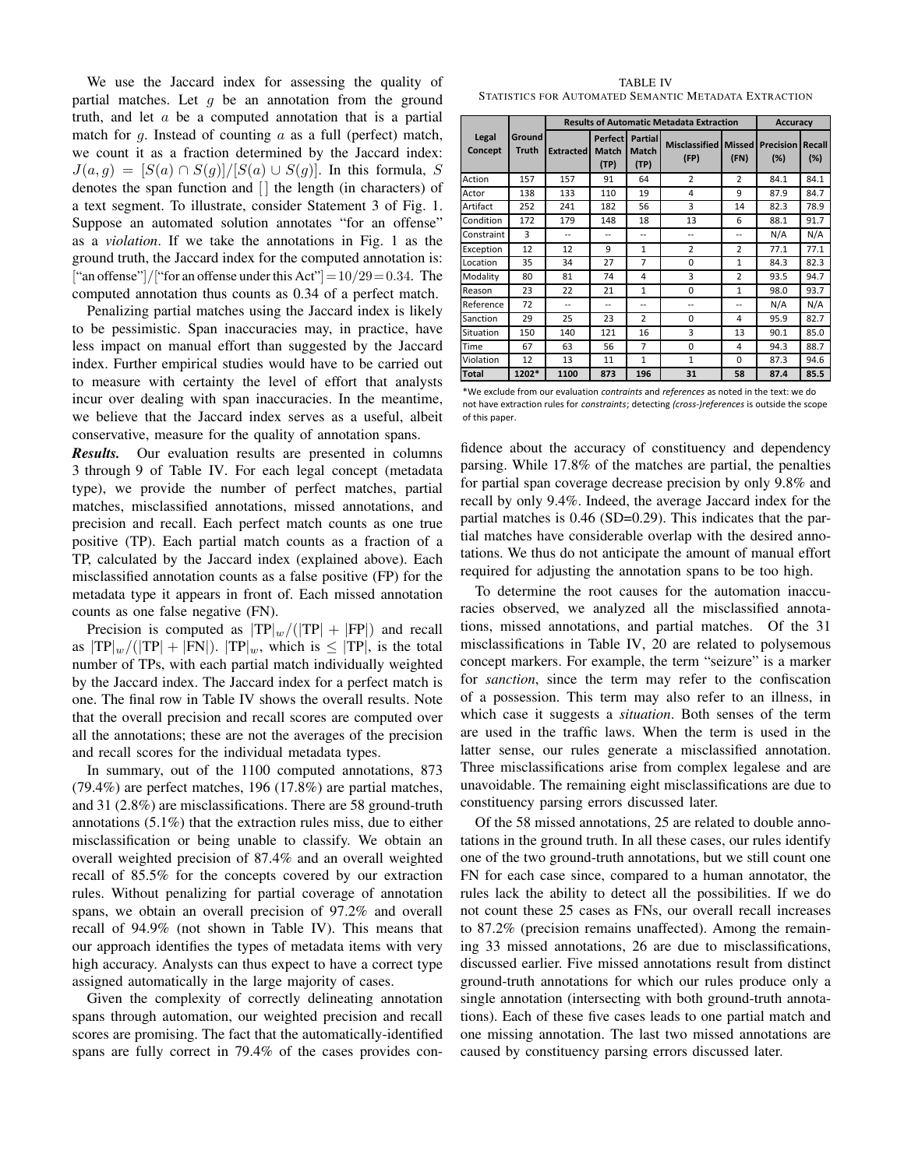We use the Jaccard index for assessing the quality of partial matches. Let  $q$  be an annotation from the ground truth, and let  $a$  be a computed annotation that is a partial match for  $q$ . Instead of counting  $a$  as a full (perfect) match, we count it as a fraction determined by the Jaccard index:  $J(a, g) = [S(a) \cap S(g)]/[S(a) \cup S(g)]$ . In this formula, S denotes the span function and  $\lfloor \cdot \rfloor$  the length (in characters) of a text segment. To illustrate, consider Statement 3 of Fig. 1. Suppose an automated solution annotates "for an offense" as a *violation*. If we take the annotations in Fig. 1 as the ground truth, the Jaccard index for the computed annotation is: ["an offense"]/["for an offense under this Act"] =  $10/29 = 0.34$ . The computed annotation thus counts as 0.34 of a perfect match.

Penalizing partial matches using the Jaccard index is likely to be pessimistic. Span inaccuracies may, in practice, have less impact on manual effort than suggested by the Jaccard index. Further empirical studies would have to be carried out to measure with certainty the level of effort that analysts incur over dealing with span inaccuracies. In the meantime, we believe that the Jaccard index serves as a useful, albeit conservative, measure for the quality of annotation spans.

*Results.* Our evaluation results are presented in columns 3 through 9 of Table IV. For each legal concept (metadata type), we provide the number of perfect matches, partial matches, misclassified annotations, missed annotations, and precision and recall. Each perfect match counts as one true positive (TP). Each partial match counts as a fraction of a TP, calculated by the Jaccard index (explained above). Each misclassified annotation counts as a false positive (FP) for the metadata type it appears in front of. Each missed annotation counts as one false negative (FN).

Precision is computed as  $|TP|_w/(|TP| + |FP|)$  and recall as  $|TP|_w/(|TP| + |FN|)$ .  $|TP|_w$ , which is  $\leq |TP|$ , is the total number of TPs, with each partial match individually weighted by the Jaccard index. The Jaccard index for a perfect match is one. The final row in Table IV shows the overall results. Note that the overall precision and recall scores are computed over all the annotations; these are not the averages of the precision and recall scores for the individual metadata types.

In summary, out of the 1100 computed annotations, 873 (79.4%) are perfect matches, 196 (17.8%) are partial matches, and 31 (2.8%) are misclassifications. There are 58 ground-truth annotations (5.1%) that the extraction rules miss, due to either misclassification or being unable to classify. We obtain an overall weighted precision of 87.4% and an overall weighted recall of 85.5% for the concepts covered by our extraction rules. Without penalizing for partial coverage of annotation spans, we obtain an overall precision of 97.2% and overall recall of 94.9% (not shown in Table IV). This means that our approach identifies the types of metadata items with very high accuracy. Analysts can thus expect to have a correct type assigned automatically in the large majority of cases.

Given the complexity of correctly delineating annotation spans through automation, our weighted precision and recall scores are promising. The fact that the automatically-identified spans are fully correct in 79.4% of the cases provides con-

TABLE IV STATISTICS FOR AUTOMATED SEMANTIC METADATA EXTRACTION

|                  | Ground<br><b>Truth</b> | <b>Results of Automatic Metadata Extraction</b> |                                 |                                        |                              |                       | Accuracy                |               |
|------------------|------------------------|-------------------------------------------------|---------------------------------|----------------------------------------|------------------------------|-----------------------|-------------------------|---------------|
| Legal<br>Concept |                        | <b>Extracted</b>                                | <b>Perfect</b><br>Match<br>(TP) | <b>Partial</b><br><b>Match</b><br>(TP) | <b>Misclassified</b><br>(FP) | <b>Missed</b><br>(FN) | <b>Precision</b><br>(%) | Recall<br>(%) |
| Action           | 157                    | 157                                             | 91                              | 64                                     | $\overline{2}$               | $\overline{2}$        | 84.1                    | 84.1          |
| Actor            | 138                    | 133                                             | 110                             | 19                                     | 4                            | 9                     | 87.9                    | 84.7          |
| Artifact         | 252                    | 241                                             | 182                             | 56                                     | 3                            | 14                    | 82.3                    | 78.9          |
| Condition        | 172                    | 179                                             | 148                             | 18                                     | 13                           | 6                     | 88.1                    | 91.7          |
| Constraint       | 3                      | --                                              | ۰.                              | --                                     | --                           | --                    | N/A                     | N/A           |
| Exception        | 12                     | 12                                              | 9                               | $\mathbf{1}$                           | $\overline{2}$               | $\overline{2}$        | 77.1                    | 77.1          |
| Location         | 35                     | 34                                              | 27                              | $\overline{7}$                         | $\Omega$                     | $\mathbf{1}$          | 84.3                    | 82.3          |
| Modality         | 80                     | 81                                              | 74                              | 4                                      | 3                            | $\overline{2}$        | 93.5                    | 94.7          |
| Reason           | 23                     | 22                                              | 21                              | $\mathbf{1}$                           | $\Omega$                     | 1                     | 98.0                    | 93.7          |
| Reference        | 72                     | --                                              | --                              | --                                     | --                           | --                    | N/A                     | N/A           |
| Sanction         | 29                     | 25                                              | 23                              | $\overline{2}$                         | $\Omega$                     | 4                     | 95.9                    | 82.7          |
| Situation        | 150                    | 140                                             | 121                             | 16                                     | 3                            | 13                    | 90.1                    | 85.0          |
| Time             | 67                     | 63                                              | 56                              | 7                                      | $\Omega$                     | 4                     | 94.3                    | 88.7          |
| Violation        | 12                     | 13                                              | 11                              | $\mathbf{1}$                           | $\mathbf{1}$                 | $\Omega$              | 87.3                    | 94.6          |
| <b>Total</b>     | 1202*                  | 1100                                            | 873                             | 196                                    | 31                           | 58                    | 87.4                    | 85.5          |

\*We exclude from our evaluation *contraints* and *references* as noted in the text: we do not have extraction rules for *constraints*; detecting (cross-)references is outside the scope of this paper.

fidence about the accuracy of constituency and dependency parsing. While 17.8% of the matches are partial, the penalties for partial span coverage decrease precision by only 9.8% and recall by only 9.4%. Indeed, the average Jaccard index for the partial matches is 0.46 (SD=0.29). This indicates that the partial matches have considerable overlap with the desired annotations. We thus do not anticipate the amount of manual effort required for adjusting the annotation spans to be too high.

To determine the root causes for the automation inaccuracies observed, we analyzed all the misclassified annotations, missed annotations, and partial matches. Of the 31 misclassifications in Table IV, 20 are related to polysemous concept markers. For example, the term "seizure" is a marker for *sanction*, since the term may refer to the confiscation of a possession. This term may also refer to an illness, in which case it suggests a *situation*. Both senses of the term are used in the traffic laws. When the term is used in the latter sense, our rules generate a misclassified annotation. Three misclassifications arise from complex legalese and are unavoidable. The remaining eight misclassifications are due to constituency parsing errors discussed later.

Of the 58 missed annotations, 25 are related to double annotations in the ground truth. In all these cases, our rules identify one of the two ground-truth annotations, but we still count one FN for each case since, compared to a human annotator, the rules lack the ability to detect all the possibilities. If we do not count these 25 cases as FNs, our overall recall increases to 87.2% (precision remains unaffected). Among the remaining 33 missed annotations, 26 are due to misclassifications, discussed earlier. Five missed annotations result from distinct ground-truth annotations for which our rules produce only a single annotation (intersecting with both ground-truth annotations). Each of these five cases leads to one partial match and one missing annotation. The last two missed annotations are caused by constituency parsing errors discussed later.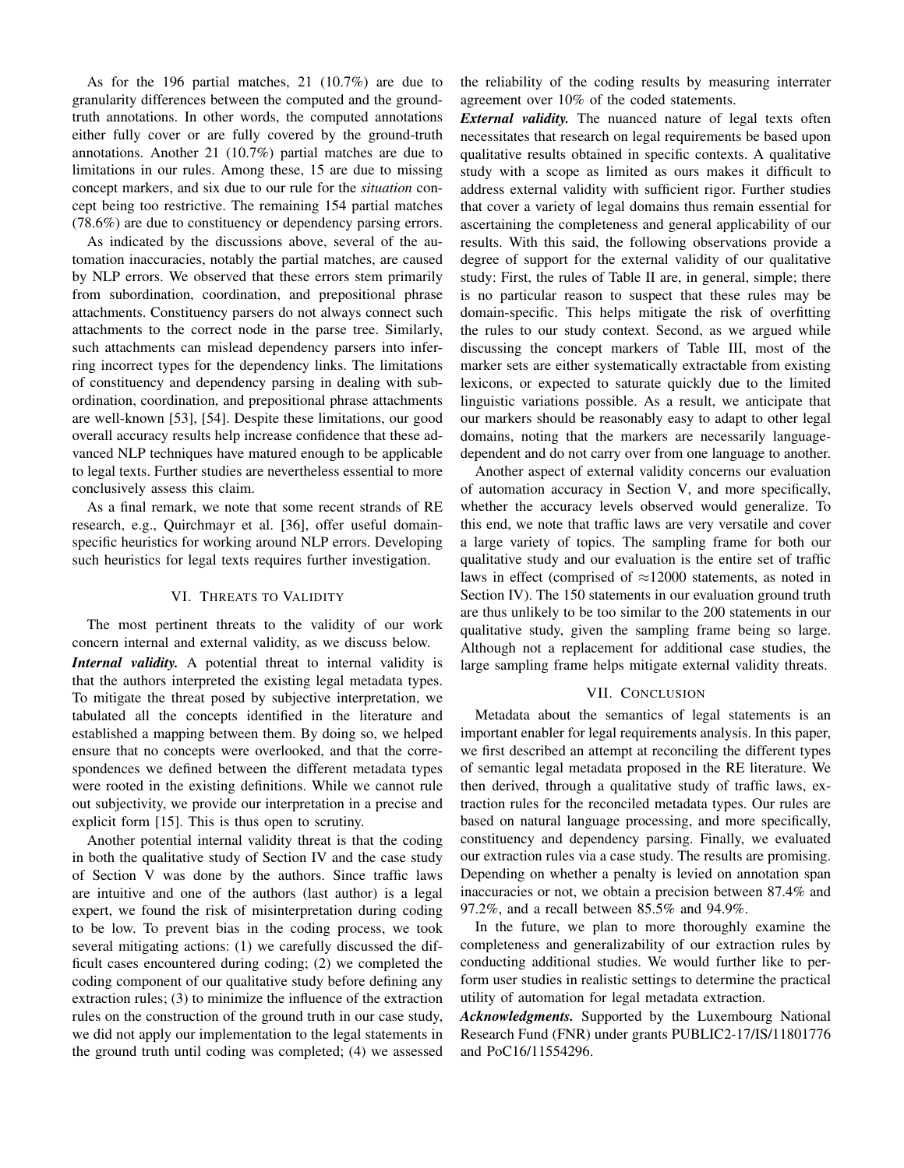As for the 196 partial matches, 21 (10.7%) are due to granularity differences between the computed and the groundtruth annotations. In other words, the computed annotations either fully cover or are fully covered by the ground-truth annotations. Another 21 (10.7%) partial matches are due to limitations in our rules. Among these, 15 are due to missing concept markers, and six due to our rule for the *situation* concept being too restrictive. The remaining 154 partial matches (78.6%) are due to constituency or dependency parsing errors.

As indicated by the discussions above, several of the automation inaccuracies, notably the partial matches, are caused by NLP errors. We observed that these errors stem primarily from subordination, coordination, and prepositional phrase attachments. Constituency parsers do not always connect such attachments to the correct node in the parse tree. Similarly, such attachments can mislead dependency parsers into inferring incorrect types for the dependency links. The limitations of constituency and dependency parsing in dealing with subordination, coordination, and prepositional phrase attachments are well-known [53], [54]. Despite these limitations, our good overall accuracy results help increase confidence that these advanced NLP techniques have matured enough to be applicable to legal texts. Further studies are nevertheless essential to more conclusively assess this claim.

As a final remark, we note that some recent strands of RE research, e.g., Quirchmayr et al. [36], offer useful domainspecific heuristics for working around NLP errors. Developing such heuristics for legal texts requires further investigation.

## VI. THREATS TO VALIDITY

The most pertinent threats to the validity of our work concern internal and external validity, as we discuss below.

*Internal validity.* A potential threat to internal validity is that the authors interpreted the existing legal metadata types. To mitigate the threat posed by subjective interpretation, we tabulated all the concepts identified in the literature and established a mapping between them. By doing so, we helped ensure that no concepts were overlooked, and that the correspondences we defined between the different metadata types were rooted in the existing definitions. While we cannot rule out subjectivity, we provide our interpretation in a precise and explicit form [15]. This is thus open to scrutiny.

Another potential internal validity threat is that the coding in both the qualitative study of Section IV and the case study of Section V was done by the authors. Since traffic laws are intuitive and one of the authors (last author) is a legal expert, we found the risk of misinterpretation during coding to be low. To prevent bias in the coding process, we took several mitigating actions: (1) we carefully discussed the difficult cases encountered during coding; (2) we completed the coding component of our qualitative study before defining any extraction rules; (3) to minimize the influence of the extraction rules on the construction of the ground truth in our case study, we did not apply our implementation to the legal statements in the ground truth until coding was completed; (4) we assessed the reliability of the coding results by measuring interrater agreement over 10% of the coded statements.

*External validity.* The nuanced nature of legal texts often necessitates that research on legal requirements be based upon qualitative results obtained in specific contexts. A qualitative study with a scope as limited as ours makes it difficult to address external validity with sufficient rigor. Further studies that cover a variety of legal domains thus remain essential for ascertaining the completeness and general applicability of our results. With this said, the following observations provide a degree of support for the external validity of our qualitative study: First, the rules of Table II are, in general, simple; there is no particular reason to suspect that these rules may be domain-specific. This helps mitigate the risk of overfitting the rules to our study context. Second, as we argued while discussing the concept markers of Table III, most of the marker sets are either systematically extractable from existing lexicons, or expected to saturate quickly due to the limited linguistic variations possible. As a result, we anticipate that our markers should be reasonably easy to adapt to other legal domains, noting that the markers are necessarily languagedependent and do not carry over from one language to another.

Another aspect of external validity concerns our evaluation of automation accuracy in Section V, and more specifically, whether the accuracy levels observed would generalize. To this end, we note that traffic laws are very versatile and cover a large variety of topics. The sampling frame for both our qualitative study and our evaluation is the entire set of traffic laws in effect (comprised of  $\approx$ 12000 statements, as noted in Section IV). The 150 statements in our evaluation ground truth are thus unlikely to be too similar to the 200 statements in our qualitative study, given the sampling frame being so large. Although not a replacement for additional case studies, the large sampling frame helps mitigate external validity threats.

#### VII. CONCLUSION

Metadata about the semantics of legal statements is an important enabler for legal requirements analysis. In this paper, we first described an attempt at reconciling the different types of semantic legal metadata proposed in the RE literature. We then derived, through a qualitative study of traffic laws, extraction rules for the reconciled metadata types. Our rules are based on natural language processing, and more specifically, constituency and dependency parsing. Finally, we evaluated our extraction rules via a case study. The results are promising. Depending on whether a penalty is levied on annotation span inaccuracies or not, we obtain a precision between 87.4% and 97.2%, and a recall between 85.5% and 94.9%.

In the future, we plan to more thoroughly examine the completeness and generalizability of our extraction rules by conducting additional studies. We would further like to perform user studies in realistic settings to determine the practical utility of automation for legal metadata extraction.

*Acknowledgments.* Supported by the Luxembourg National Research Fund (FNR) under grants PUBLIC2-17/IS/11801776 and PoC16/11554296.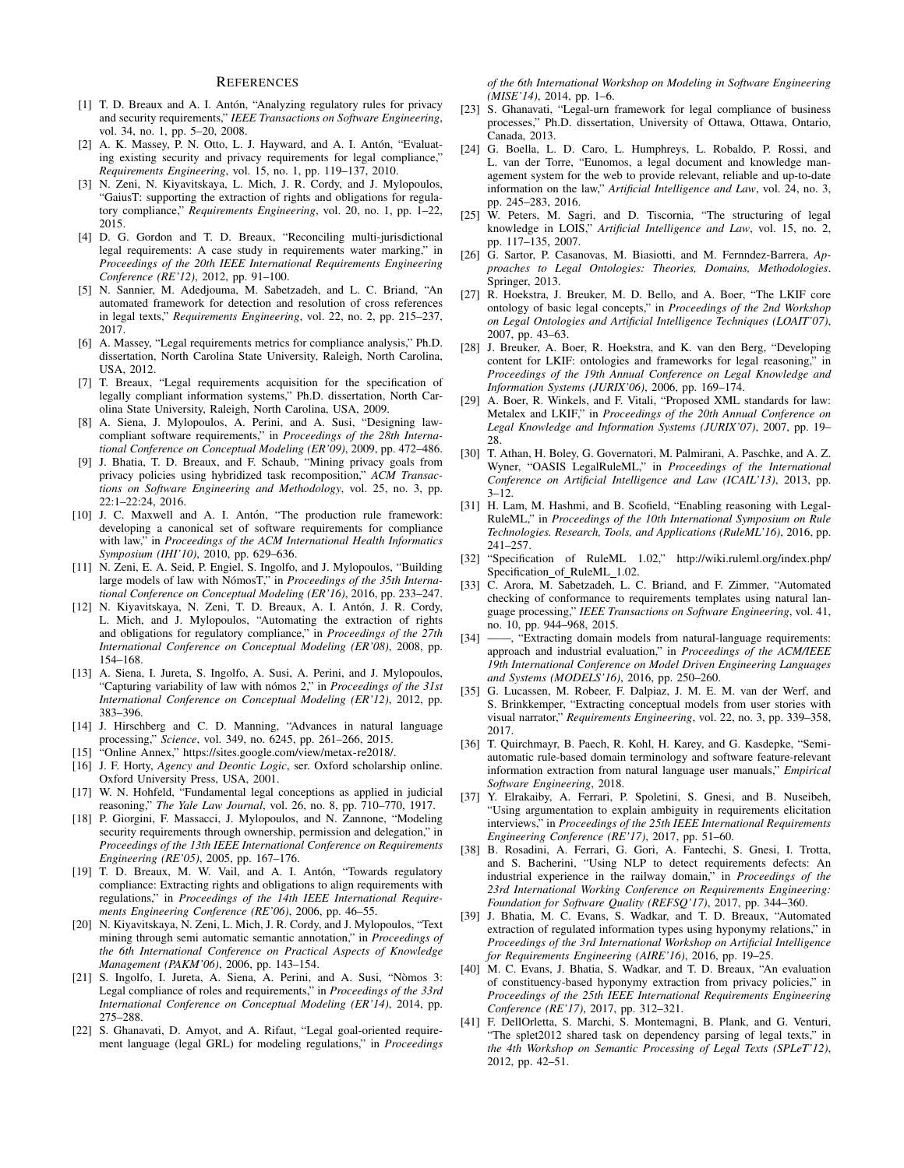#### **REFERENCES**

- [1] T. D. Breaux and A. I. Antón, "Analyzing regulatory rules for privacy and security requirements," *IEEE Transactions on Software Engineering*, vol. 34, no. 1, pp. 5–20, 2008.
- [2] A. K. Massey, P. N. Otto, L. J. Hayward, and A. I. Antón, "Evaluating existing security and privacy requirements for legal compliance," *Requirements Engineering*, vol. 15, no. 1, pp. 119–137, 2010.
- [3] N. Zeni, N. Kiyavitskaya, L. Mich, J. R. Cordy, and J. Mylopoulos, "GaiusT: supporting the extraction of rights and obligations for regulatory compliance," *Requirements Engineering*, vol. 20, no. 1, pp. 1–22, 2015.
- [4] D. G. Gordon and T. D. Breaux, "Reconciling multi-jurisdictional legal requirements: A case study in requirements water marking," in *Proceedings of the 20th IEEE International Requirements Engineering Conference (RE'12)*, 2012, pp. 91–100.
- [5] N. Sannier, M. Adedjouma, M. Sabetzadeh, and L. C. Briand, "An automated framework for detection and resolution of cross references in legal texts," *Requirements Engineering*, vol. 22, no. 2, pp. 215–237, 2017.
- [6] A. Massey, "Legal requirements metrics for compliance analysis," Ph.D. dissertation, North Carolina State University, Raleigh, North Carolina, USA, 2012.
- [7] T. Breaux, "Legal requirements acquisition for the specification of legally compliant information systems," Ph.D. dissertation, North Carolina State University, Raleigh, North Carolina, USA, 2009.
- [8] A. Siena, J. Mylopoulos, A. Perini, and A. Susi, "Designing lawcompliant software requirements," in *Proceedings of the 28th International Conference on Conceptual Modeling (ER'09)*, 2009, pp. 472–486.
- [9] J. Bhatia, T. D. Breaux, and F. Schaub, "Mining privacy goals from privacy policies using hybridized task recomposition," *ACM Transactions on Software Engineering and Methodology*, vol. 25, no. 3, pp. 22:1–22:24, 2016.
- [10] J. C. Maxwell and A. I. Antón, "The production rule framework: developing a canonical set of software requirements for compliance with law," in *Proceedings of the ACM International Health Informatics Symposium (IHI'10)*, 2010, pp. 629–636.
- [11] N. Zeni, E. A. Seid, P. Engiel, S. Ingolfo, and J. Mylopoulos, "Building large models of law with NómosT," in Proceedings of the 35th Interna*tional Conference on Conceptual Modeling (ER'16)*, 2016, pp. 233–247.
- [12] N. Kiyavitskaya, N. Zeni, T. D. Breaux, A. I. Antón, J. R. Cordy, L. Mich, and J. Mylopoulos, "Automating the extraction of rights and obligations for regulatory compliance," in *Proceedings of the 27th International Conference on Conceptual Modeling (ER'08)*, 2008, pp. 154–168.
- [13] A. Siena, I. Jureta, S. Ingolfo, A. Susi, A. Perini, and J. Mylopoulos, "Capturing variability of law with nomos 2," in Proceedings of the 31st *International Conference on Conceptual Modeling (ER'12)*, 2012, pp. 383–396.
- [14] J. Hirschberg and C. D. Manning, "Advances in natural language processing," *Science*, vol. 349, no. 6245, pp. 261–266, 2015.
- [15] "Online Annex," https://sites.google.com/view/metax-re2018/.
- [16] J. F. Horty, *Agency and Deontic Logic*, ser. Oxford scholarship online. Oxford University Press, USA, 2001.
- [17] W. N. Hohfeld, "Fundamental legal conceptions as applied in judicial reasoning," *The Yale Law Journal*, vol. 26, no. 8, pp. 710–770, 1917.
- [18] P. Giorgini, F. Massacci, J. Mylopoulos, and N. Zannone, "Modeling security requirements through ownership, permission and delegation," in *Proceedings of the 13th IEEE International Conference on Requirements Engineering (RE'05)*, 2005, pp. 167–176.
- [19] T. D. Breaux, M. W. Vail, and A. I. Antón, "Towards regulatory compliance: Extracting rights and obligations to align requirements with regulations," in *Proceedings of the 14th IEEE International Requirements Engineering Conference (RE'06)*, 2006, pp. 46–55.
- [20] N. Kiyavitskaya, N. Zeni, L. Mich, J. R. Cordy, and J. Mylopoulos, "Text mining through semi automatic semantic annotation," in *Proceedings of the 6th International Conference on Practical Aspects of Knowledge Management (PAKM'06)*, 2006, pp. 143–154.
- [21] S. Ingolfo, I. Jureta, A. Siena, A. Perini, and A. Susi, "Nòmos 3: Legal compliance of roles and requirements," in *Proceedings of the 33rd International Conference on Conceptual Modeling (ER'14)*, 2014, pp. 275–288.
- [22] S. Ghanavati, D. Amyot, and A. Rifaut, "Legal goal-oriented requirement language (legal GRL) for modeling regulations," in *Proceedings*

*of the 6th International Workshop on Modeling in Software Engineering (MISE'14)*, 2014, pp. 1–6.

- [23] S. Ghanavati, "Legal-urn framework for legal compliance of business processes," Ph.D. dissertation, University of Ottawa, Ottawa, Ontario, Canada, 2013.
- [24] G. Boella, L. D. Caro, L. Humphreys, L. Robaldo, P. Rossi, and L. van der Torre, "Eunomos, a legal document and knowledge management system for the web to provide relevant, reliable and up-to-date information on the law," *Artificial Intelligence and Law*, vol. 24, no. 3, pp. 245–283, 2016.
- [25] W. Peters, M. Sagri, and D. Tiscornia, "The structuring of legal knowledge in LOIS," *Artificial Intelligence and Law*, vol. 15, no. 2, pp. 117–135, 2007.
- [26] G. Sartor, P. Casanovas, M. Biasiotti, and M. Fernndez-Barrera, Ap*proaches to Legal Ontologies: Theories, Domains, Methodologies*. Springer, 2013.
- [27] R. Hoekstra, J. Breuker, M. D. Bello, and A. Boer, "The LKIF core ontology of basic legal concepts," in *Proceedings of the 2nd Workshop on Legal Ontologies and Artificial Intelligence Techniques (LOAIT'07)*, 2007, pp. 43–63.
- [28] J. Breuker, A. Boer, R. Hoekstra, and K. van den Berg, "Developing content for LKIF: ontologies and frameworks for legal reasoning," in *Proceedings of the 19th Annual Conference on Legal Knowledge and Information Systems (JURIX'06)*, 2006, pp. 169–174.
- [29] A. Boer, R. Winkels, and F. Vitali, "Proposed XML standards for law: Metalex and LKIF," in *Proceedings of the 20th Annual Conference on Legal Knowledge and Information Systems (JURIX'07)*, 2007, pp. 19– 28.
- [30] T. Athan, H. Boley, G. Governatori, M. Palmirani, A. Paschke, and A. Z. Wyner, "OASIS LegalRuleML," in *Proceedings of the International Conference on Artificial Intelligence and Law (ICAIL'13)*, 2013, pp.  $3 - 12$ .
- [31] H. Lam, M. Hashmi, and B. Scofield, "Enabling reasoning with Legal-RuleML," in *Proceedings of the 10th International Symposium on Rule Technologies. Research, Tools, and Applications (RuleML'16)*, 2016, pp. 241–257.
- [32] "Specification of RuleML 1.02," http://wiki.ruleml.org/index.php/ Specification\_of\_RuleML\_1.02.
- [33] C. Arora, M. Sabetzadeh, L. C. Briand, and F. Zimmer, "Automated checking of conformance to requirements templates using natural language processing," *IEEE Transactions on Software Engineering*, vol. 41, no. 10, pp. 944–968, 2015.
- [34] ——, "Extracting domain models from natural-language requirements: approach and industrial evaluation," in *Proceedings of the ACM/IEEE 19th International Conference on Model Driven Engineering Languages and Systems (MODELS'16)*, 2016, pp. 250–260.
- [35] G. Lucassen, M. Robeer, F. Dalpiaz, J. M. E. M. van der Werf, and S. Brinkkemper, "Extracting conceptual models from user stories with visual narrator," *Requirements Engineering*, vol. 22, no. 3, pp. 339–358, 2017.
- [36] T. Quirchmayr, B. Paech, R. Kohl, H. Karey, and G. Kasdepke, "Semiautomatic rule-based domain terminology and software feature-relevant information extraction from natural language user manuals," *Empirical Software Engineering*, 2018.
- [37] Y. Elrakaiby, A. Ferrari, P. Spoletini, S. Gnesi, and B. Nuseibeh, "Using argumentation to explain ambiguity in requirements elicitation interviews," in *Proceedings of the 25th IEEE International Requirements Engineering Conference (RE'17)*, 2017, pp. 51–60.
- [38] B. Rosadini, A. Ferrari, G. Gori, A. Fantechi, S. Gnesi, I. Trotta, and S. Bacherini, "Using NLP to detect requirements defects: An industrial experience in the railway domain," in *Proceedings of the 23rd International Working Conference on Requirements Engineering: Foundation for Software Quality (REFSQ'17)*, 2017, pp. 344–360.
- [39] J. Bhatia, M. C. Evans, S. Wadkar, and T. D. Breaux, "Automated extraction of regulated information types using hyponymy relations," in *Proceedings of the 3rd International Workshop on Artificial Intelligence for Requirements Engineering (AIRE'16)*, 2016, pp. 19–25.
- [40] M. C. Evans, J. Bhatia, S. Wadkar, and T. D. Breaux, "An evaluation of constituency-based hyponymy extraction from privacy policies," in *Proceedings of the 25th IEEE International Requirements Engineering Conference (RE'17)*, 2017, pp. 312–321.
- [41] F. DellOrletta, S. Marchi, S. Montemagni, B. Plank, and G. Venturi, "The splet2012 shared task on dependency parsing of legal texts," in *the 4th Workshop on Semantic Processing of Legal Texts (SPLeT'12)*, 2012, pp. 42–51.